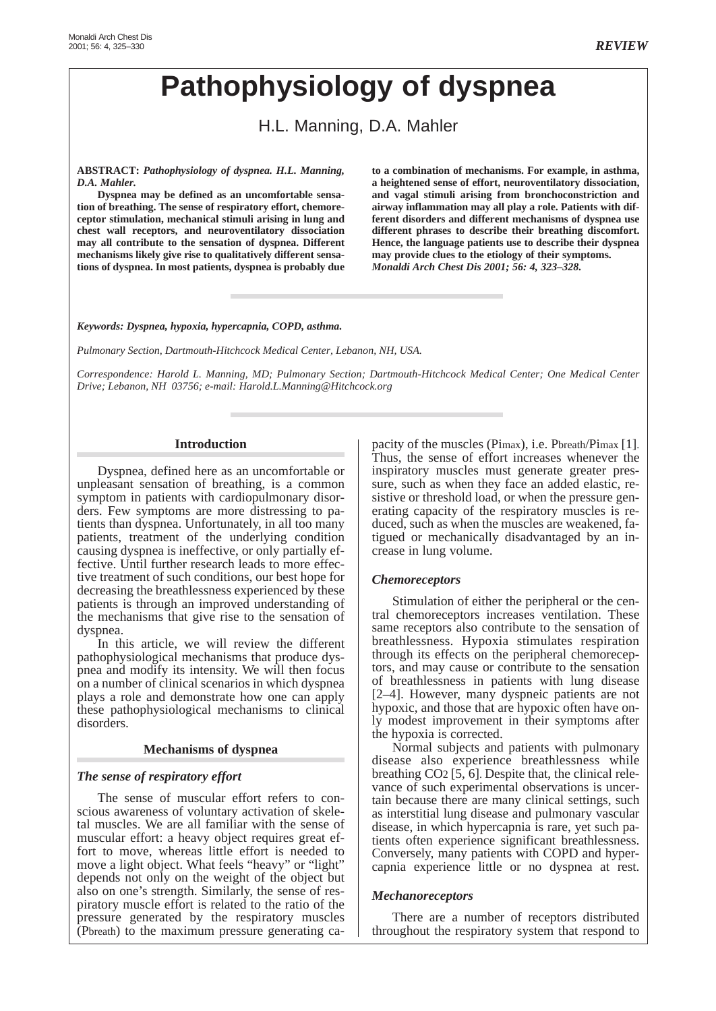# **Pathophysiology of dyspnea**

H.L. Manning, D.A. Mahler

**ABSTRACT:** *Pathophysiology of dyspnea. H.L. Manning, D.A. Mahler.*

**Dyspnea may be defined as an uncomfortable sensation of breathing. The sense of respiratory effort, chemoreceptor stimulation, mechanical stimuli arising in lung and chest wall receptors, and neuroventilatory dissociation may all contribute to the sensation of dyspnea. Different mechanisms likely give rise to qualitatively different sensations of dyspnea. In most patients, dyspnea is probably due**

**to a combination of mechanisms. For example, in asthma, a heightened sense of effort, neuroventilatory dissociation, and vagal stimuli arising from bronchoconstriction and airway inflammation may all play a role. Patients with different disorders and different mechanisms of dyspnea use different phrases to describe their breathing discomfort. Hence, the language patients use to describe their dyspnea may provide clues to the etiology of their symptoms.** *Monaldi Arch Chest Dis 2001; 56: 4, 323–328.*

*Keywords: Dyspnea, hypoxia, hypercapnia, COPD, asthma.*

*Pulmonary Section, Dartmouth-Hitchcock Medical Center, Lebanon, NH, USA.*

*Correspondence: Harold L. Manning, MD; Pulmonary Section; Dartmouth-Hitchcock Medical Center; One Medical Center Drive; Lebanon, NH 03756; e-mail: Harold.L.Manning@Hitchcock.org*

## **Introduction**

Dyspnea, defined here as an uncomfortable or unpleasant sensation of breathing, is a common symptom in patients with cardiopulmonary disorders. Few symptoms are more distressing to patients than dyspnea. Unfortunately, in all too many patients, treatment of the underlying condition causing dyspnea is ineffective, or only partially effective. Until further research leads to more effective treatment of such conditions, our best hope for decreasing the breathlessness experienced by these patients is through an improved understanding of the mechanisms that give rise to the sensation of dyspnea.

In this article, we will review the different pathophysiological mechanisms that produce dyspnea and modify its intensity. We will then focus on a number of clinical scenarios in which dyspnea plays a role and demonstrate how one can apply these pathophysiological mechanisms to clinical disorders.

#### **Mechanisms of dyspnea**

# *The sense of respiratory effort*

The sense of muscular effort refers to conscious awareness of voluntary activation of skeletal muscles. We are all familiar with the sense of muscular effort: a heavy object requires great effort to move, whereas little effort is needed to move a light object. What feels "heavy" or "light" depends not only on the weight of the object but also on one's strength. Similarly, the sense of respiratory muscle effort is related to the ratio of the pressure generated by the respiratory muscles (Pbreath) to the maximum pressure generating capacity of the muscles (Pimax), i.e. Pbreath/Pimax [1]. Thus, the sense of effort increases whenever the inspiratory muscles must generate greater pressure, such as when they face an added elastic, resistive or threshold load, or when the pressure generating capacity of the respiratory muscles is reduced, such as when the muscles are weakened, fatigued or mechanically disadvantaged by an increase in lung volume.

# *Chemoreceptors*

Stimulation of either the peripheral or the central chemoreceptors increases ventilation. These same receptors also contribute to the sensation of breathlessness. Hypoxia stimulates respiration through its effects on the peripheral chemoreceptors, and may cause or contribute to the sensation of breathlessness in patients with lung disease [2–4]. However, many dyspneic patients are not hypoxic, and those that are hypoxic often have only modest improvement in their symptoms after the hypoxia is corrected.

Normal subjects and patients with pulmonary disease also experience breathlessness while breathing CO2 [5, 6]. Despite that, the clinical relevance of such experimental observations is uncertain because there are many clinical settings, such as interstitial lung disease and pulmonary vascular disease, in which hypercapnia is rare, yet such patients often experience significant breathlessness. Conversely, many patients with COPD and hypercapnia experience little or no dyspnea at rest.

# *Mechanoreceptors*

There are a number of receptors distributed throughout the respiratory system that respond to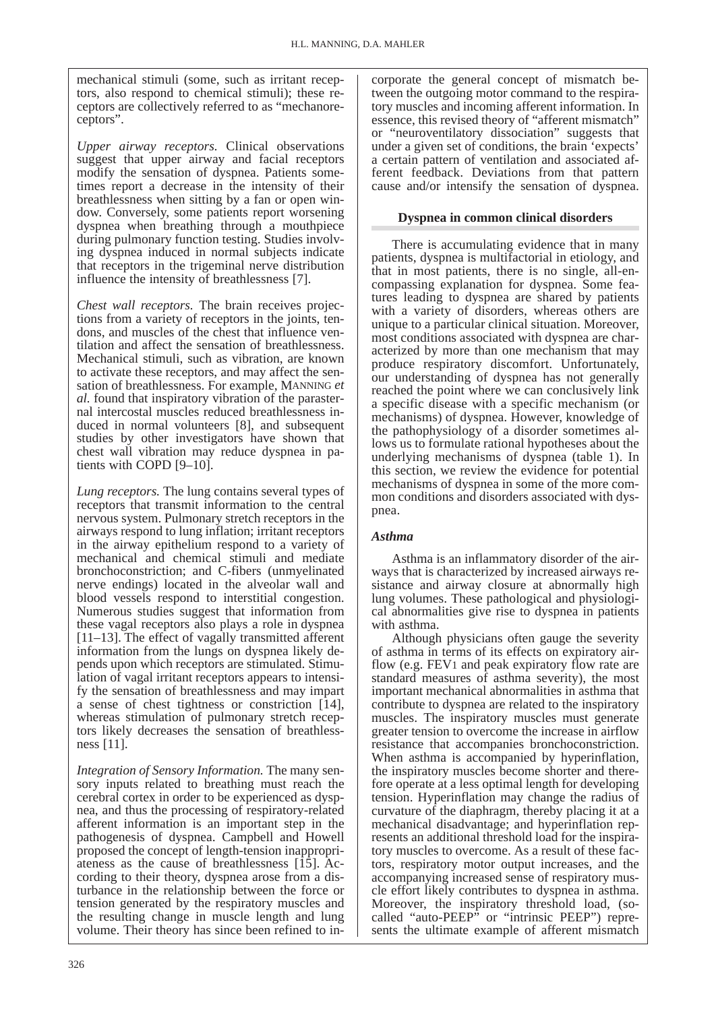mechanical stimuli (some, such as irritant receptors, also respond to chemical stimuli); these receptors are collectively referred to as "mechanoreceptors".

*Upper airway receptors.* Clinical observations suggest that upper airway and facial receptors modify the sensation of dyspnea. Patients sometimes report a decrease in the intensity of their breathlessness when sitting by a fan or open window. Conversely, some patients report worsening dyspnea when breathing through a mouthpiece during pulmonary function testing. Studies involving dyspnea induced in normal subjects indicate that receptors in the trigeminal nerve distribution influence the intensity of breathlessness [7].

*Chest wall receptors.* The brain receives projections from a variety of receptors in the joints, tendons, and muscles of the chest that influence ventilation and affect the sensation of breathlessness. Mechanical stimuli, such as vibration, are known to activate these receptors, and may affect the sensation of breathlessness. For example, MANNING *et al.* found that inspiratory vibration of the parasternal intercostal muscles reduced breathlessness induced in normal volunteers [8], and subsequent studies by other investigators have shown that chest wall vibration may reduce dyspnea in patients with COPD [9–10].

*Lung receptors.* The lung contains several types of receptors that transmit information to the central nervous system. Pulmonary stretch receptors in the airways respond to lung inflation; irritant receptors in the airway epithelium respond to a variety of mechanical and chemical stimuli and mediate bronchoconstriction; and C-fibers (unmyelinated nerve endings) located in the alveolar wall and blood vessels respond to interstitial congestion. Numerous studies suggest that information from these vagal receptors also plays a role in dyspnea [11–13]. The effect of vagally transmitted afferent information from the lungs on dyspnea likely depends upon which receptors are stimulated. Stimulation of vagal irritant receptors appears to intensify the sensation of breathlessness and may impart a sense of chest tightness or constriction [14], whereas stimulation of pulmonary stretch receptors likely decreases the sensation of breathlessness [11].

*Integration of Sensory Information.* The many sensory inputs related to breathing must reach the cerebral cortex in order to be experienced as dyspnea, and thus the processing of respiratory-related afferent information is an important step in the pathogenesis of dyspnea. Campbell and Howell proposed the concept of length-tension inappropriateness as the cause of breathlessness  $[15]$ . According to their theory, dyspnea arose from a disturbance in the relationship between the force or tension generated by the respiratory muscles and the resulting change in muscle length and lung volume. Their theory has since been refined to incorporate the general concept of mismatch between the outgoing motor command to the respiratory muscles and incoming afferent information. In essence, this revised theory of "afferent mismatch" or "neuroventilatory dissociation" suggests that under a given set of conditions, the brain 'expects' a certain pattern of ventilation and associated afferent feedback. Deviations from that pattern cause and/or intensify the sensation of dyspnea.

## **Dyspnea in common clinical disorders**

There is accumulating evidence that in many patients, dyspnea is multifactorial in etiology, and that in most patients, there is no single, all-encompassing explanation for dyspnea. Some features leading to dyspnea are shared by patients with a variety of disorders, whereas others are unique to a particular clinical situation. Moreover, most conditions associated with dyspnea are characterized by more than one mechanism that may produce respiratory discomfort. Unfortunately, our understanding of dyspnea has not generally reached the point where we can conclusively link a specific disease with a specific mechanism (or mechanisms) of dyspnea. However, knowledge of the pathophysiology of a disorder sometimes allows us to formulate rational hypotheses about the underlying mechanisms of dyspnea (table 1). In this section, we review the evidence for potential mechanisms of dyspnea in some of the more common conditions and disorders associated with dyspnea.

#### *Asthma*

Asthma is an inflammatory disorder of the airways that is characterized by increased airways resistance and airway closure at abnormally high lung volumes. These pathological and physiological abnormalities give rise to dyspnea in patients with asthma.

Although physicians often gauge the severity of asthma in terms of its effects on expiratory airflow (e.g. FEV1 and peak expiratory flow rate are standard measures of asthma severity), the most important mechanical abnormalities in asthma that contribute to dyspnea are related to the inspiratory muscles. The inspiratory muscles must generate greater tension to overcome the increase in airflow resistance that accompanies bronchoconstriction. When asthma is accompanied by hyperinflation, the inspiratory muscles become shorter and therefore operate at a less optimal length for developing tension. Hyperinflation may change the radius of curvature of the diaphragm, thereby placing it at a mechanical disadvantage; and hyperinflation represents an additional threshold load for the inspiratory muscles to overcome. As a result of these factors, respiratory motor output increases, and the accompanying increased sense of respiratory muscle effort likely contributes to dyspnea in asthma. Moreover, the inspiratory threshold load, (socalled "auto-PEEP" or "intrinsic PEEP") represents the ultimate example of afferent mismatch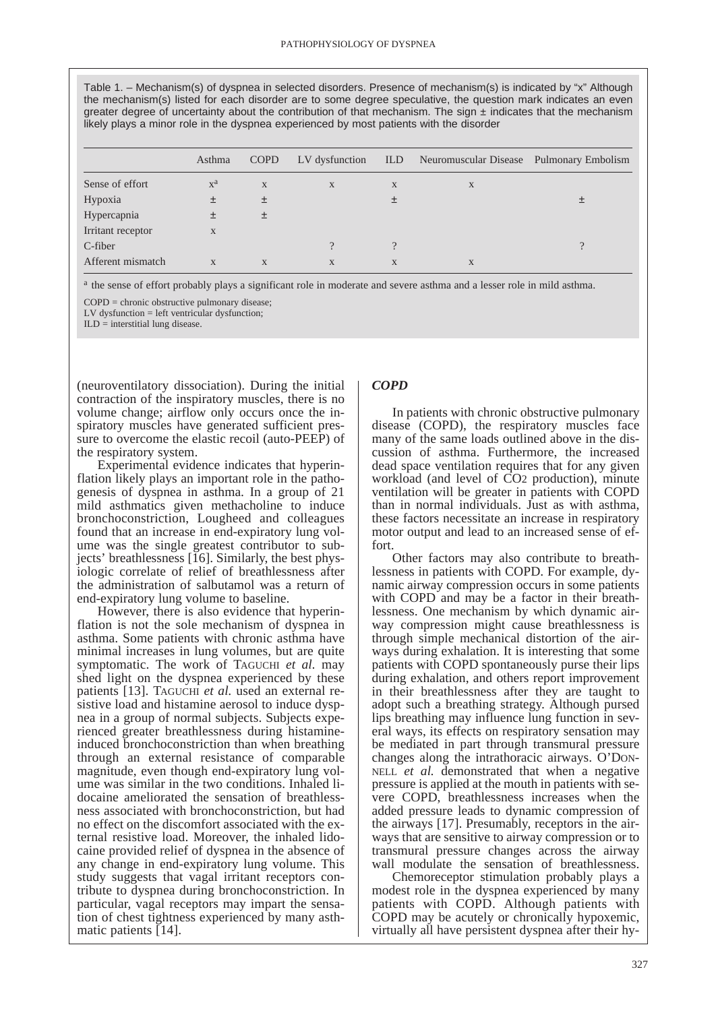Table 1. – Mechanism(s) of dyspnea in selected disorders. Presence of mechanism(s) is indicated by "x" Although the mechanism(s) listed for each disorder are to some degree speculative, the question mark indicates an even greater degree of uncertainty about the contribution of that mechanism. The sign  $\pm$  indicates that the mechanism likely plays a minor role in the dyspnea experienced by most patients with the disorder

|                   | Asthma                    | <b>COPD</b> | LV dysfunction | ILD         | Neuromuscular Disease Pulmonary Embolism |          |
|-------------------|---------------------------|-------------|----------------|-------------|------------------------------------------|----------|
| Sense of effort   | $\mathbf{x}^{\mathbf{a}}$ | X           | $\mathbf{X}$   | $\mathbf X$ | X                                        |          |
| Hypoxia           | 土                         | 土           |                | 土           |                                          |          |
| Hypercapnia       | 土                         | 土           |                |             |                                          |          |
| Irritant receptor | X                         |             |                |             |                                          |          |
| C-fiber           |                           |             |                | $\gamma$    |                                          | $\Omega$ |
| Afferent mismatch | X                         | X           | X              | X           | $\mathbf{X}$                             |          |

<sup>a</sup> the sense of effort probably plays a significant role in moderate and severe asthma and a lesser role in mild asthma.

COPD = chronic obstructive pulmonary disease;

LV dysfunction = left ventricular dysfunction;

 $ILD =$  interstitial lung disease.

(neuroventilatory dissociation). During the initial contraction of the inspiratory muscles, there is no volume change; airflow only occurs once the inspiratory muscles have generated sufficient pressure to overcome the elastic recoil (auto-PEEP) of the respiratory system.

Experimental evidence indicates that hyperinflation likely plays an important role in the pathogenesis of dyspnea in asthma. In a group of 21 mild asthmatics given methacholine to induce bronchoconstriction, Lougheed and colleagues found that an increase in end-expiratory lung volume was the single greatest contributor to subjects' breathlessness [16]. Similarly, the best physiologic correlate of relief of breathlessness after the administration of salbutamol was a return of end-expiratory lung volume to baseline.

However, there is also evidence that hyperinflation is not the sole mechanism of dyspnea in asthma. Some patients with chronic asthma have minimal increases in lung volumes, but are quite symptomatic. The work of TAGUCHI *et al.* may shed light on the dyspnea experienced by these patients [13]. TAGUCHI *et al.* used an external resistive load and histamine aerosol to induce dyspnea in a group of normal subjects. Subjects experienced greater breathlessness during histamineinduced bronchoconstriction than when breathing through an external resistance of comparable magnitude, even though end-expiratory lung volume was similar in the two conditions. Inhaled lidocaine ameliorated the sensation of breathlessness associated with bronchoconstriction, but had no effect on the discomfort associated with the external resistive load. Moreover, the inhaled lidocaine provided relief of dyspnea in the absence of any change in end-expiratory lung volume. This study suggests that vagal irritant receptors contribute to dyspnea during bronchoconstriction. In particular, vagal receptors may impart the sensation of chest tightness experienced by many asthmatic patients [14].

#### *COPD*

In patients with chronic obstructive pulmonary disease (COPD), the respiratory muscles face many of the same loads outlined above in the discussion of asthma. Furthermore, the increased dead space ventilation requires that for any given workload (and level of CO2 production), minute ventilation will be greater in patients with COPD than in normal individuals. Just as with asthma, these factors necessitate an increase in respiratory motor output and lead to an increased sense of effort.

Other factors may also contribute to breathlessness in patients with COPD. For example, dynamic airway compression occurs in some patients with COPD and may be a factor in their breathlessness. One mechanism by which dynamic airway compression might cause breathlessness is through simple mechanical distortion of the airways during exhalation. It is interesting that some patients with COPD spontaneously purse their lips during exhalation, and others report improvement in their breathlessness after they are taught to adopt such a breathing strategy. Although pursed lips breathing may influence lung function in several ways, its effects on respiratory sensation may be mediated in part through transmural pressure changes along the intrathoracic airways. O'DON-NELL *et al.* demonstrated that when a negative pressure is applied at the mouth in patients with severe COPD, breathlessness increases when the added pressure leads to dynamic compression of the airways [17]. Presumably, receptors in the airways that are sensitive to airway compression or to transmural pressure changes across the airway wall modulate the sensation of breathlessness.

Chemoreceptor stimulation probably plays a modest role in the dyspnea experienced by many patients with COPD. Although patients with COPD may be acutely or chronically hypoxemic, virtually all have persistent dyspnea after their hy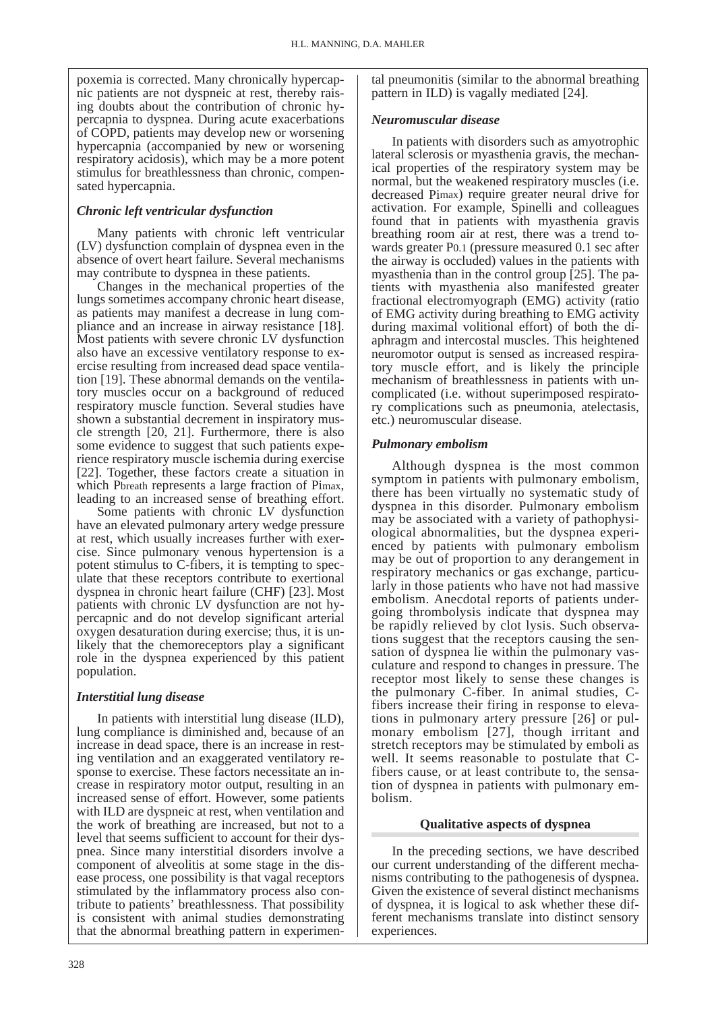poxemia is corrected. Many chronically hypercapnic patients are not dyspneic at rest, thereby raising doubts about the contribution of chronic hypercapnia to dyspnea. During acute exacerbations of COPD, patients may develop new or worsening hypercapnia (accompanied by new or worsening respiratory acidosis), which may be a more potent stimulus for breathlessness than chronic, compensated hypercapnia.

# *Chronic left ventricular dysfunction*

Many patients with chronic left ventricular (LV) dysfunction complain of dyspnea even in the absence of overt heart failure. Several mechanisms may contribute to dyspnea in these patients.

Changes in the mechanical properties of the lungs sometimes accompany chronic heart disease, as patients may manifest a decrease in lung compliance and an increase in airway resistance [18]. Most patients with severe chronic LV dysfunction also have an excessive ventilatory response to exercise resulting from increased dead space ventilation [19]. These abnormal demands on the ventilatory muscles occur on a background of reduced respiratory muscle function. Several studies have shown a substantial decrement in inspiratory muscle strength [20, 21]. Furthermore, there is also some evidence to suggest that such patients experience respiratory muscle ischemia during exercise [22]. Together, these factors create a situation in which Pbreath represents a large fraction of Pimax, leading to an increased sense of breathing effort.

Some patients with chronic LV dysfunction have an elevated pulmonary artery wedge pressure at rest, which usually increases further with exercise. Since pulmonary venous hypertension is a potent stimulus to C-fibers, it is tempting to speculate that these receptors contribute to exertional dyspnea in chronic heart failure (CHF) [23]. Most patients with chronic LV dysfunction are not hypercapnic and do not develop significant arterial oxygen desaturation during exercise; thus, it is unlikely that the chemoreceptors play a significant role in the dyspnea experienced by this patient population.

# *Interstitial lung disease*

In patients with interstitial lung disease (ILD), lung compliance is diminished and, because of an increase in dead space, there is an increase in resting ventilation and an exaggerated ventilatory response to exercise. These factors necessitate an increase in respiratory motor output, resulting in an increased sense of effort. However, some patients with ILD are dyspneic at rest, when ventilation and the work of breathing are increased, but not to a level that seems sufficient to account for their dyspnea. Since many interstitial disorders involve a component of alveolitis at some stage in the disease process, one possibility is that vagal receptors stimulated by the inflammatory process also contribute to patients' breathlessness. That possibility is consistent with animal studies demonstrating that the abnormal breathing pattern in experimental pneumonitis (similar to the abnormal breathing pattern in ILD) is vagally mediated [24].

## *Neuromuscular disease*

In patients with disorders such as amyotrophic lateral sclerosis or myasthenia gravis, the mechanical properties of the respiratory system may be normal, but the weakened respiratory muscles (i.e. decreased Pimax) require greater neural drive for activation. For example, Spinelli and colleagues found that in patients with myasthenia gravis breathing room air at rest, there was a trend towards greater P0.1 (pressure measured 0.1 sec after the airway is occluded) values in the patients with myasthenia than in the control group [25]. The patients with myasthenia also manifested greater fractional electromyograph (EMG) activity (ratio of EMG activity during breathing to EMG activity during maximal volitional effort) of both the diaphragm and intercostal muscles. This heightened neuromotor output is sensed as increased respiratory muscle effort, and is likely the principle mechanism of breathlessness in patients with uncomplicated (i.e. without superimposed respiratory complications such as pneumonia, atelectasis, etc.) neuromuscular disease.

# *Pulmonary embolism*

Although dyspnea is the most common symptom in patients with pulmonary embolism, there has been virtually no systematic study of dyspnea in this disorder. Pulmonary embolism may be associated with a variety of pathophysiological abnormalities, but the dyspnea experienced by patients with pulmonary embolism may be out of proportion to any derangement in respiratory mechanics or gas exchange, particularly in those patients who have not had massive embolism. Anecdotal reports of patients undergoing thrombolysis indicate that dyspnea may be rapidly relieved by clot lysis. Such observations suggest that the receptors causing the sensation of dyspnea lie within the pulmonary vasculature and respond to changes in pressure. The receptor most likely to sense these changes is the pulmonary C-fiber. In animal studies, Cfibers increase their firing in response to elevations in pulmonary artery pressure [26] or pulmonary embolism [27], though irritant and stretch receptors may be stimulated by emboli as well. It seems reasonable to postulate that Cfibers cause, or at least contribute to, the sensation of dyspnea in patients with pulmonary embolism.

# **Qualitative aspects of dyspnea**

In the preceding sections, we have described our current understanding of the different mechanisms contributing to the pathogenesis of dyspnea. Given the existence of several distinct mechanisms of dyspnea, it is logical to ask whether these different mechanisms translate into distinct sensory experiences.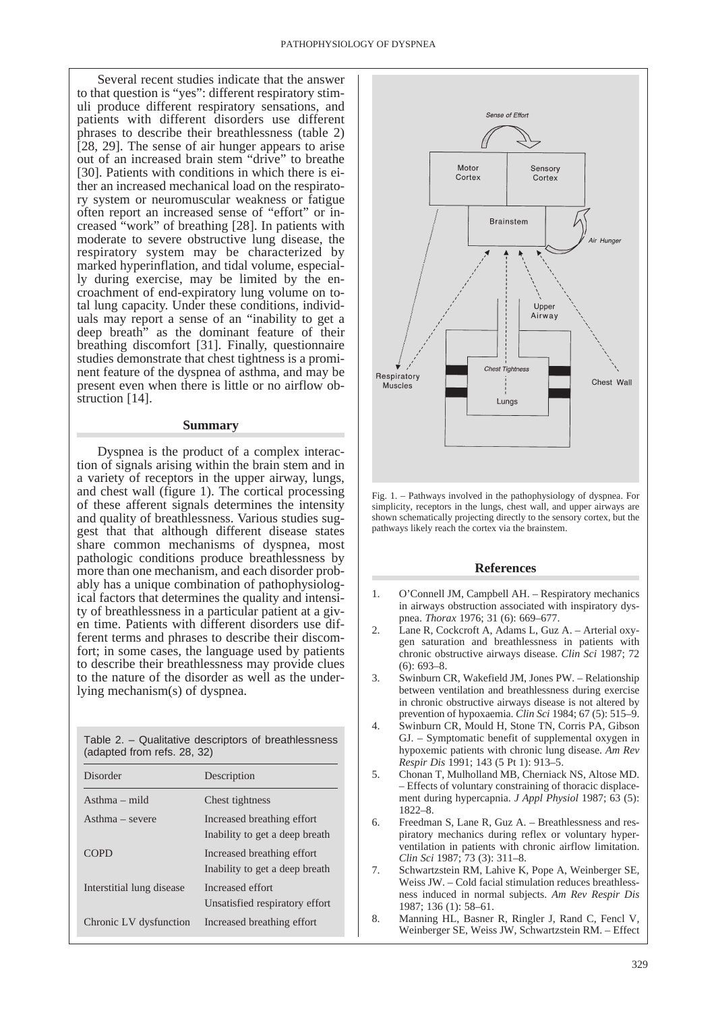Several recent studies indicate that the answer to that question is "yes": different respiratory stimuli produce different respiratory sensations, and patients with different disorders use different phrases to describe their breathlessness (table 2) [28, 29]. The sense of air hunger appears to arise out of an increased brain stem "drive" to breathe [30]. Patients with conditions in which there is either an increased mechanical load on the respiratory system or neuromuscular weakness or fatigue often report an increased sense of "effort" or increased "work" of breathing [28]. In patients with moderate to severe obstructive lung disease, the respiratory system may be characterized by marked hyperinflation, and tidal volume, especially during exercise, may be limited by the encroachment of end-expiratory lung volume on total lung capacity. Under these conditions, individuals may report a sense of an "inability to get a deep breath" as the dominant feature of their breathing discomfort [31]. Finally, questionnaire studies demonstrate that chest tightness is a prominent feature of the dyspnea of asthma, and may be present even when there is little or no airflow obstruction [14].

#### **Summary**

Dyspnea is the product of a complex interaction of signals arising within the brain stem and in a variety of receptors in the upper airway, lungs, and chest wall (figure 1). The cortical processing of these afferent signals determines the intensity and quality of breathlessness. Various studies suggest that that although different disease states share common mechanisms of dyspnea, most pathologic conditions produce breathlessness by more than one mechanism, and each disorder probably has a unique combination of pathophysiological factors that determines the quality and intensity of breathlessness in a particular patient at a given time. Patients with different disorders use different terms and phrases to describe their discomfort; in some cases, the language used by patients to describe their breathlessness may provide clues to the nature of the disorder as well as the underlying mechanism(s) of dyspnea.

| (adapted from refs. 28, 32) | Table 2. – Qualitative descriptors of breathlessness |  |
|-----------------------------|------------------------------------------------------|--|
| Disorder                    | Description                                          |  |

| Disorder                  | Description                                                  |
|---------------------------|--------------------------------------------------------------|
| $A$ sthma – mild          | Chest tightness                                              |
| $Asthma - severe$         | Increased breathing effort<br>Inability to get a deep breath |
| <b>COPD</b>               | Increased breathing effort<br>Inability to get a deep breath |
| Interstitial lung disease | Increased effort<br>Unsatisfied respiratory effort           |
| Chronic LV dysfunction    | Increased breathing effort                                   |



Fig. 1. – Pathways involved in the pathophysiology of dyspnea. For simplicity, receptors in the lungs, chest wall, and upper airways are shown schematically projecting directly to the sensory cortex, but the pathways likely reach the cortex via the brainstem.

#### **References**

- 1. O'Connell JM, Campbell AH. Respiratory mechanics in airways obstruction associated with inspiratory dyspnea. *Thorax* 1976; 31 (6): 669–677.
- 2. Lane R, Cockcroft A, Adams L, Guz A. Arterial oxygen saturation and breathlessness in patients with chronic obstructive airways disease. *Clin Sci* 1987; 72 (6): 693–8.
- 3. Swinburn CR, Wakefield JM, Jones PW. Relationship between ventilation and breathlessness during exercise in chronic obstructive airways disease is not altered by prevention of hypoxaemia. *Clin Sci* 1984; 67 (5): 515–9.
- 4. Swinburn CR, Mould H, Stone TN, Corris PA, Gibson GJ. – Symptomatic benefit of supplemental oxygen in hypoxemic patients with chronic lung disease. *Am Rev Respir Dis* 1991; 143 (5 Pt 1): 913–5.
- 5. Chonan T, Mulholland MB, Cherniack NS, Altose MD. – Effects of voluntary constraining of thoracic displacement during hypercapnia. *J Appl Physiol* 1987; 63 (5): 1822–8.
- 6. Freedman S, Lane R, Guz A. Breathlessness and respiratory mechanics during reflex or voluntary hyperventilation in patients with chronic airflow limitation. *Clin Sci* 1987; 73 (3): 311–8.
- 7. Schwartzstein RM, Lahive K, Pope A, Weinberger SE, Weiss JW. – Cold facial stimulation reduces breathlessness induced in normal subjects. *Am Rev Respir Dis* 1987; 136 (1): 58–61.
- 8. Manning HL, Basner R, Ringler J, Rand C, Fencl V, Weinberger SE, Weiss JW, Schwartzstein RM. – Effect